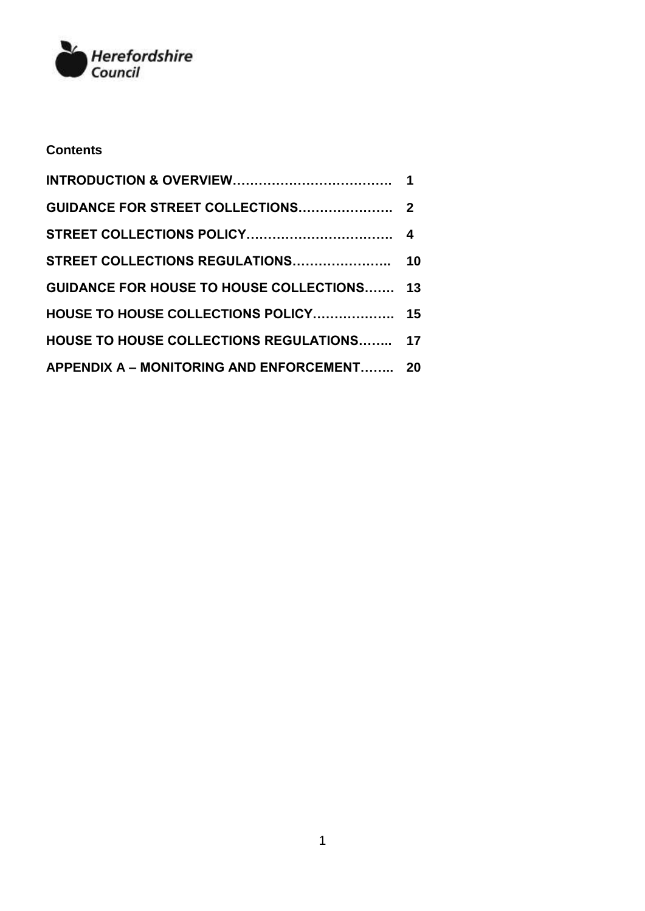

## **Contents**

| <b>GUIDANCE FOR HOUSE TO HOUSE COLLECTIONS 13</b> |  |
|---------------------------------------------------|--|
| HOUSE TO HOUSE COLLECTIONS POLICY 15              |  |
| HOUSE TO HOUSE COLLECTIONS REGULATIONS 17         |  |
| APPENDIX A - MONITORING AND ENFORCEMENT 20        |  |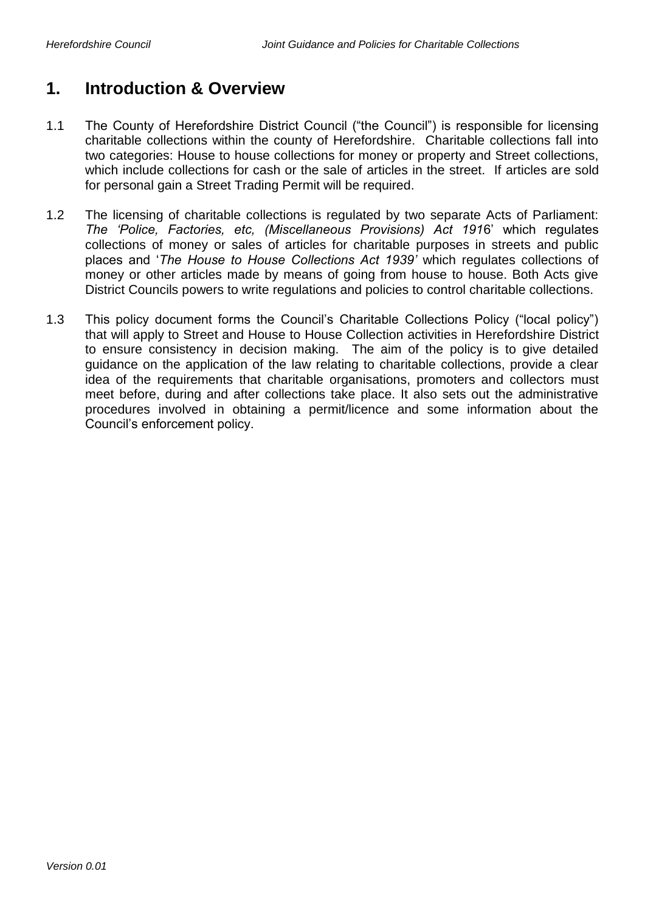## **1. Introduction & Overview**

- 1.1 The County of Herefordshire District Council ("the Council") is responsible for licensing charitable collections within the county of Herefordshire. Charitable collections fall into two categories: House to house collections for money or property and Street collections, which include collections for cash or the sale of articles in the street. If articles are sold for personal gain a Street Trading Permit will be required.
- 1.2 The licensing of charitable collections is regulated by two separate Acts of Parliament: *The 'Police, Factories, etc, (Miscellaneous Provisions) Act 191*6' which regulates collections of money or sales of articles for charitable purposes in streets and public places and '*The House to House Collections Act 1939'* which regulates collections of money or other articles made by means of going from house to house. Both Acts give District Councils powers to write regulations and policies to control charitable collections.
- 1.3 This policy document forms the Council's Charitable Collections Policy ("local policy") that will apply to Street and House to House Collection activities in Herefordshire District to ensure consistency in decision making. The aim of the policy is to give detailed guidance on the application of the law relating to charitable collections, provide a clear idea of the requirements that charitable organisations, promoters and collectors must meet before, during and after collections take place. It also sets out the administrative procedures involved in obtaining a permit/licence and some information about the Council's enforcement policy.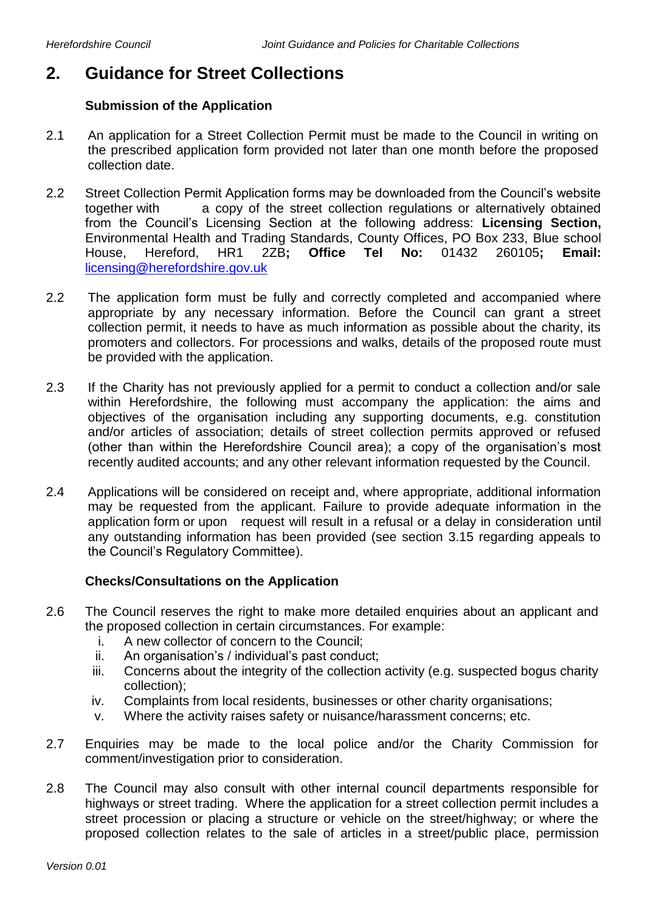## **2. Guidance for Street Collections**

## **Submission of the Application**

- 2.1 An application for a Street Collection Permit must be made to the Council in writing on the prescribed application form provided not later than one month before the proposed collection date.
- 2.2 Street Collection Permit Application forms may be downloaded from the Council's website together with a copy of the street collection regulations or alternatively obtained from the Council's Licensing Section at the following address: **Licensing Section,**  Environmental Health and Trading Standards, County Offices, PO Box 233, Blue school House, Hereford, HR1 2ZB**; Office Tel No:** 01432 260105**; Email:**  [licensing@herefordshire.gov.uk](mailto:licensing@herefordshire.gov.uk)
- 2.2 The application form must be fully and correctly completed and accompanied where appropriate by any necessary information. Before the Council can grant a street collection permit, it needs to have as much information as possible about the charity, its promoters and collectors. For processions and walks, details of the proposed route must be provided with the application.
- 2.3 If the Charity has not previously applied for a permit to conduct a collection and/or sale within Herefordshire, the following must accompany the application: the aims and objectives of the organisation including any supporting documents, e.g. constitution and/or articles of association; details of street collection permits approved or refused (other than within the Herefordshire Council area); a copy of the organisation's most recently audited accounts; and any other relevant information requested by the Council.
- 2.4 Applications will be considered on receipt and, where appropriate, additional information may be requested from the applicant. Failure to provide adequate information in the application form or upon request will result in a refusal or a delay in consideration until any outstanding information has been provided (see section 3.15 regarding appeals to the Council's Regulatory Committee).

## **Checks/Consultations on the Application**

- 2.6 The Council reserves the right to make more detailed enquiries about an applicant and the proposed collection in certain circumstances. For example:
	- i. A new collector of concern to the Council;
	- ii. An organisation's / individual's past conduct;
	- iii. Concerns about the integrity of the collection activity (e.g. suspected bogus charity collection);
	- iv. Complaints from local residents, businesses or other charity organisations;
	- v. Where the activity raises safety or nuisance/harassment concerns; etc.
- 2.7 Enquiries may be made to the local police and/or the Charity Commission for comment/investigation prior to consideration.
- 2.8 The Council may also consult with other internal council departments responsible for highways or street trading. Where the application for a street collection permit includes a street procession or placing a structure or vehicle on the street/highway; or where the proposed collection relates to the sale of articles in a street/public place, permission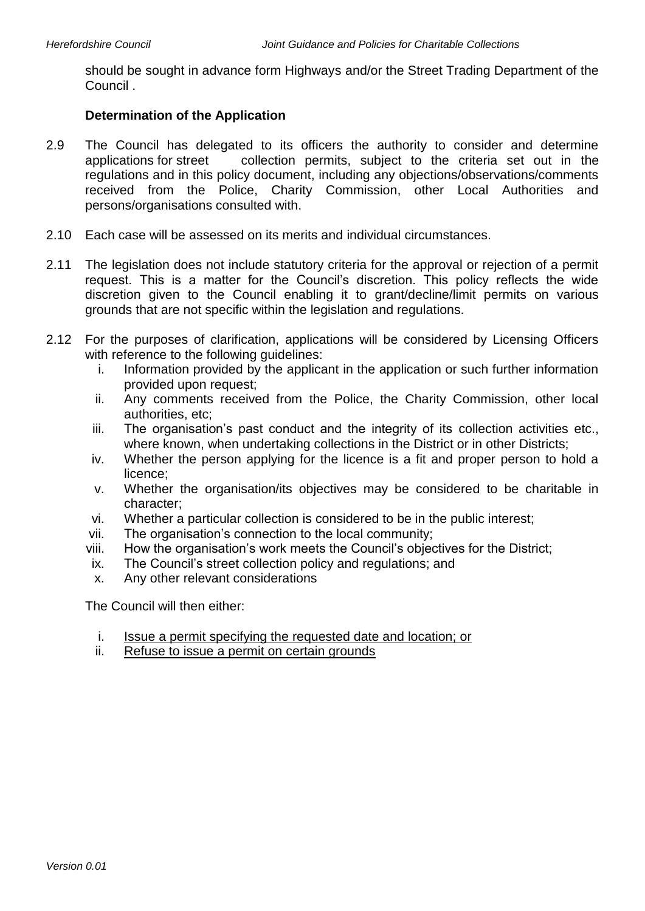should be sought in advance form Highways and/or the Street Trading Department of the Council .

## **Determination of the Application**

- 2.9 The Council has delegated to its officers the authority to consider and determine applications for street collection permits, subject to the criteria set out in the regulations and in this policy document, including any objections/observations/comments received from the Police, Charity Commission, other Local Authorities and persons/organisations consulted with.
- 2.10 Each case will be assessed on its merits and individual circumstances.
- 2.11 The legislation does not include statutory criteria for the approval or rejection of a permit request. This is a matter for the Council's discretion. This policy reflects the wide discretion given to the Council enabling it to grant/decline/limit permits on various grounds that are not specific within the legislation and regulations.
- 2.12 For the purposes of clarification, applications will be considered by Licensing Officers with reference to the following quidelines:
	- i. Information provided by the applicant in the application or such further information provided upon request;
	- ii. Any comments received from the Police, the Charity Commission, other local authorities, etc;
	- iii. The organisation's past conduct and the integrity of its collection activities etc., where known, when undertaking collections in the District or in other Districts;
	- iv. Whether the person applying for the licence is a fit and proper person to hold a licence;
	- v. Whether the organisation/its objectives may be considered to be charitable in character;
	- vi. Whether a particular collection is considered to be in the public interest;
	- vii. The organisation's connection to the local community;
	- viii. How the organisation's work meets the Council's objectives for the District;
	- ix. The Council's street collection policy and regulations; and
	- x. Any other relevant considerations

The Council will then either:

- i. Issue a permit specifying the requested date and location; or
- ii. Refuse to issue a permit on certain grounds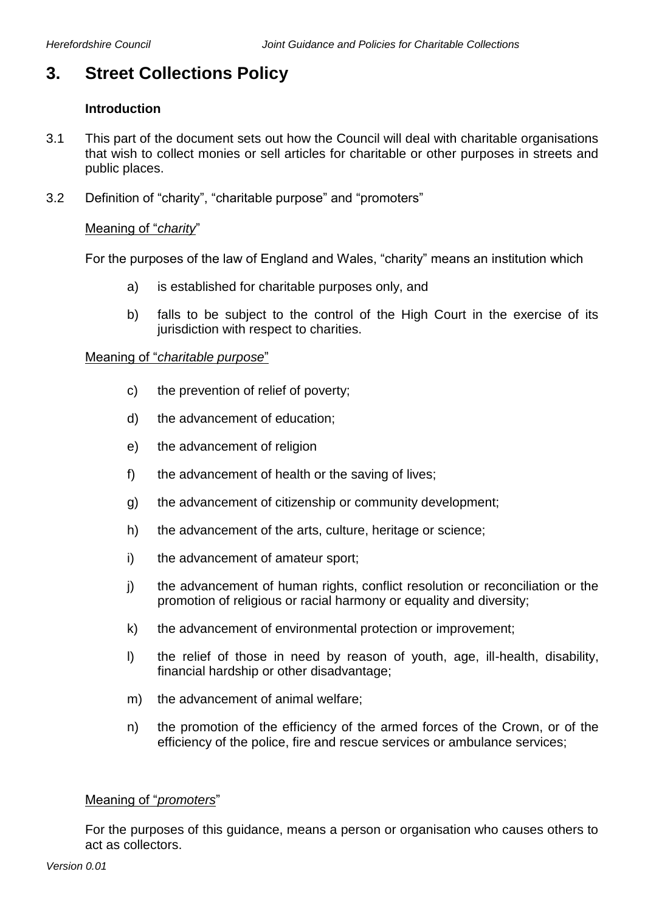## **3. Street Collections Policy**

## **Introduction**

- 3.1 This part of the document sets out how the Council will deal with charitable organisations that wish to collect monies or sell articles for charitable or other purposes in streets and public places.
- 3.2 Definition of "charity", "charitable purpose" and "promoters"

## Meaning of "*charity*"

For the purposes of the law of England and Wales, "charity" means an institution which

- a) is established for charitable purposes only, and
- b) falls to be subject to the control of the High Court in the exercise of its jurisdiction with respect to charities.

#### Meaning of "*charitable purpose*"

- c) the prevention of relief of poverty;
- d) the advancement of education;
- e) the advancement of religion
- f) the advancement of health or the saving of lives;
- g) the advancement of citizenship or community development;
- h) the advancement of the arts, culture, heritage or science;
- i) the advancement of amateur sport;
- j) the advancement of human rights, conflict resolution or reconciliation or the promotion of religious or racial harmony or equality and diversity;
- k) the advancement of environmental protection or improvement;
- l) the relief of those in need by reason of youth, age, ill-health, disability, financial hardship or other disadvantage;
- m) the advancement of animal welfare;
- n) the promotion of the efficiency of the armed forces of the Crown, or of the efficiency of the police, fire and rescue services or ambulance services;

## Meaning of "*promoters*"

For the purposes of this guidance, means a person or organisation who causes others to act as collectors.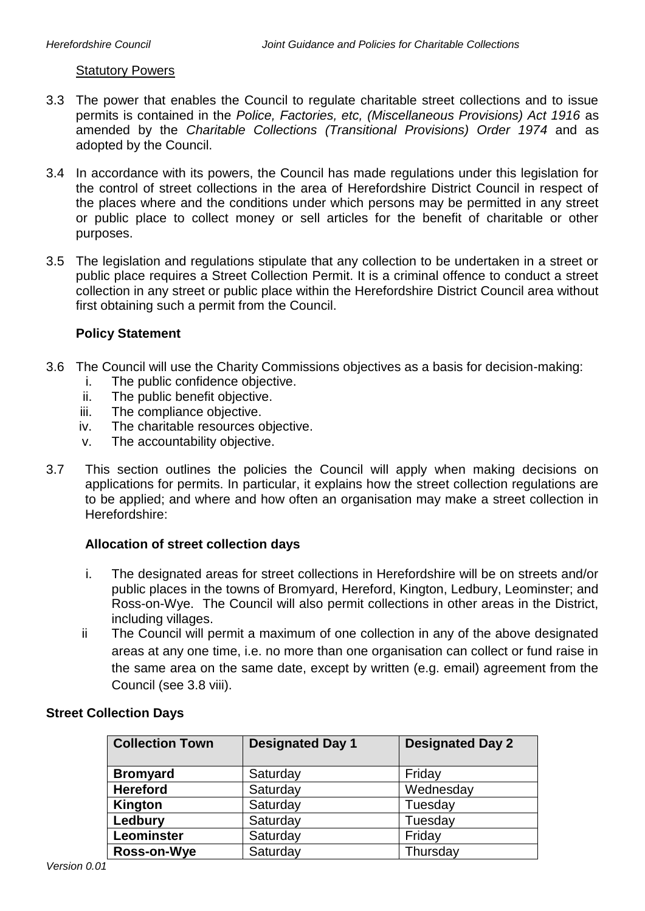#### Statutory Powers

- 3.3 The power that enables the Council to regulate charitable street collections and to issue permits is contained in the *Police, Factories, etc, (Miscellaneous Provisions) Act 1916* as amended by the *Charitable Collections (Transitional Provisions) Order 1974* and as adopted by the Council.
- 3.4 In accordance with its powers, the Council has made regulations under this legislation for the control of street collections in the area of Herefordshire District Council in respect of the places where and the conditions under which persons may be permitted in any street or public place to collect money or sell articles for the benefit of charitable or other purposes.
- 3.5 The legislation and regulations stipulate that any collection to be undertaken in a street or public place requires a Street Collection Permit. It is a criminal offence to conduct a street collection in any street or public place within the Herefordshire District Council area without first obtaining such a permit from the Council.

## **Policy Statement**

- 3.6 The Council will use the Charity Commissions objectives as a basis for decision-making:
	- i. The public confidence objective.
	- ii. The public benefit objective.
	- iii. The compliance objective.
	- iv. The charitable resources objective.
	- v. The accountability objective.
- 3.7 This section outlines the policies the Council will apply when making decisions on applications for permits. In particular, it explains how the street collection regulations are to be applied; and where and how often an organisation may make a street collection in Herefordshire:

## **Allocation of street collection days**

- i. The designated areas for street collections in Herefordshire will be on streets and/or public places in the towns of Bromyard, Hereford, Kington, Ledbury, Leominster; and Ross-on-Wye. The Council will also permit collections in other areas in the District, including villages.
- ii The Council will permit a maximum of one collection in any of the above designated areas at any one time, i.e. no more than one organisation can collect or fund raise in the same area on the same date, except by written (e.g. email) agreement from the Council (see 3.8 viii).

| <b>Collection Town</b> | <b>Designated Day 1</b> | <b>Designated Day 2</b> |
|------------------------|-------------------------|-------------------------|
| <b>Bromyard</b>        | Saturday                | Friday                  |
| <b>Hereford</b>        | Saturday                | Wednesday               |
| Kington                | Saturday                | Tuesday                 |
| Ledbury                | Saturday                | Tuesday                 |
| Leominster             | Saturday                | Friday                  |
| Ross-on-Wye            | Saturday                | Thursday                |

## **Street Collection Days**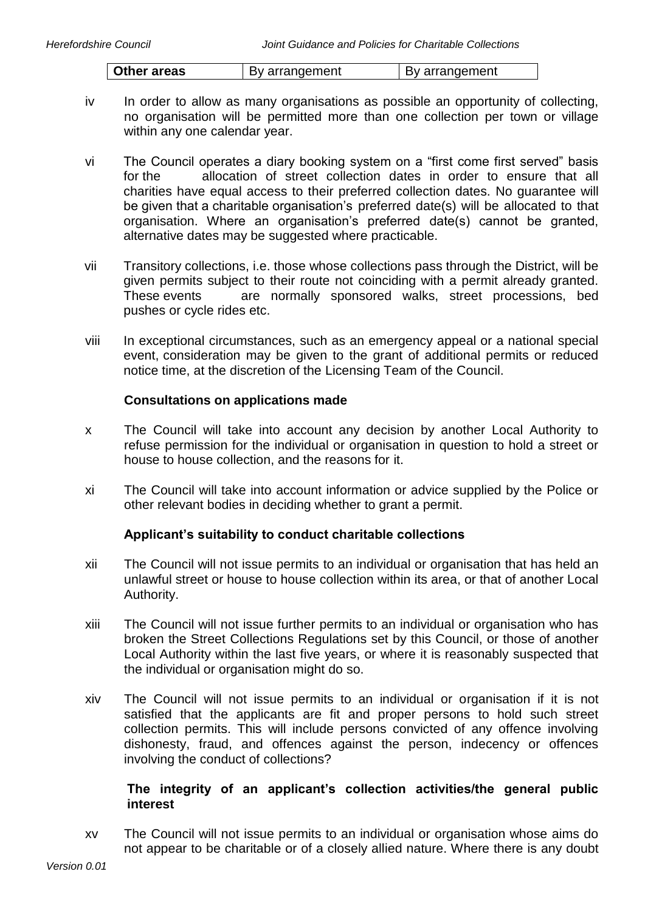| Other areas | By arrangement | By arrangement |
|-------------|----------------|----------------|

- iv In order to allow as many organisations as possible an opportunity of collecting, no organisation will be permitted more than one collection per town or village within any one calendar year.
- vi The Council operates a diary booking system on a "first come first served" basis for the allocation of street collection dates in order to ensure that all charities have equal access to their preferred collection dates. No guarantee will be given that a charitable organisation's preferred date(s) will be allocated to that organisation. Where an organisation's preferred date(s) cannot be granted, alternative dates may be suggested where practicable.
- vii Transitory collections, i.e. those whose collections pass through the District, will be given permits subject to their route not coinciding with a permit already granted. These events are normally sponsored walks, street processions, bed pushes or cycle rides etc.
- viii In exceptional circumstances, such as an emergency appeal or a national special event, consideration may be given to the grant of additional permits or reduced notice time, at the discretion of the Licensing Team of the Council.

## **Consultations on applications made**

- x The Council will take into account any decision by another Local Authority to refuse permission for the individual or organisation in question to hold a street or house to house collection, and the reasons for it.
- xi The Council will take into account information or advice supplied by the Police or other relevant bodies in deciding whether to grant a permit.

## **Applicant's suitability to conduct charitable collections**

- xii The Council will not issue permits to an individual or organisation that has held an unlawful street or house to house collection within its area, or that of another Local Authority.
- xiii The Council will not issue further permits to an individual or organisation who has broken the Street Collections Regulations set by this Council, or those of another Local Authority within the last five years, or where it is reasonably suspected that the individual or organisation might do so.
- xiv The Council will not issue permits to an individual or organisation if it is not satisfied that the applicants are fit and proper persons to hold such street collection permits. This will include persons convicted of any offence involving dishonesty, fraud, and offences against the person, indecency or offences involving the conduct of collections?

## **The integrity of an applicant's collection activities/the general public interest**

xv The Council will not issue permits to an individual or organisation whose aims do not appear to be charitable or of a closely allied nature. Where there is any doubt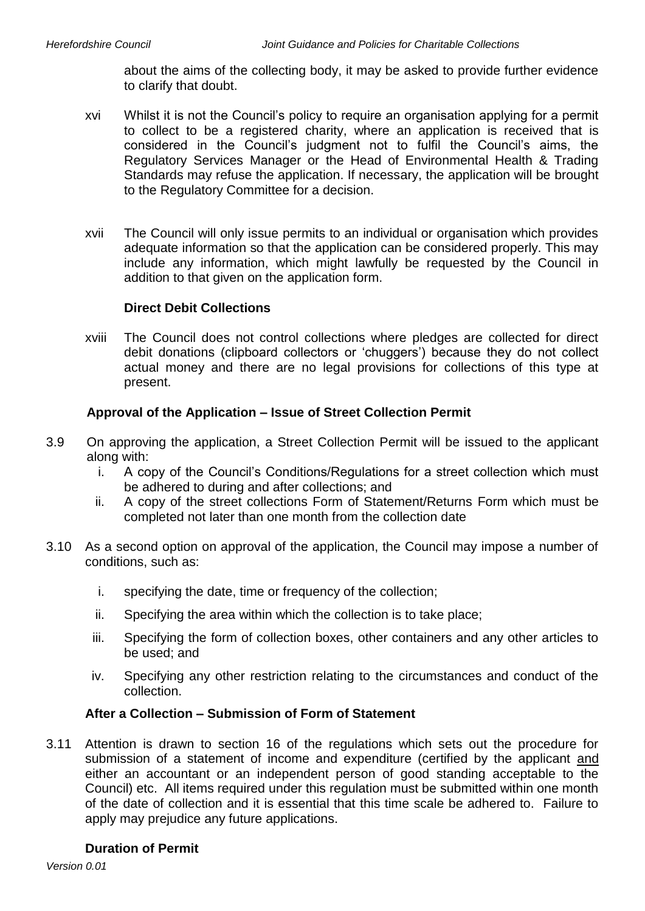about the aims of the collecting body, it may be asked to provide further evidence to clarify that doubt.

- xvi Whilst it is not the Council's policy to require an organisation applying for a permit to collect to be a registered charity, where an application is received that is considered in the Council's judgment not to fulfil the Council's aims, the Regulatory Services Manager or the Head of Environmental Health & Trading Standards may refuse the application. If necessary, the application will be brought to the Regulatory Committee for a decision.
- xvii The Council will only issue permits to an individual or organisation which provides adequate information so that the application can be considered properly. This may include any information, which might lawfully be requested by the Council in addition to that given on the application form.

#### **Direct Debit Collections**

xviii The Council does not control collections where pledges are collected for direct debit donations (clipboard collectors or 'chuggers') because they do not collect actual money and there are no legal provisions for collections of this type at present.

## **Approval of the Application – Issue of Street Collection Permit**

- 3.9 On approving the application, a Street Collection Permit will be issued to the applicant along with:
	- i. A copy of the Council's Conditions/Regulations for a street collection which must be adhered to during and after collections; and
	- ii. A copy of the street collections Form of Statement/Returns Form which must be completed not later than one month from the collection date
- 3.10 As a second option on approval of the application, the Council may impose a number of conditions, such as:
	- i. specifying the date, time or frequency of the collection;
	- ii. Specifying the area within which the collection is to take place;
	- iii. Specifying the form of collection boxes, other containers and any other articles to be used; and
	- iv. Specifying any other restriction relating to the circumstances and conduct of the collection.

## **After a Collection – Submission of Form of Statement**

3.11 Attention is drawn to section 16 of the regulations which sets out the procedure for submission of a statement of income and expenditure (certified by the applicant and either an accountant or an independent person of good standing acceptable to the Council) etc. All items required under this regulation must be submitted within one month of the date of collection and it is essential that this time scale be adhered to. Failure to apply may prejudice any future applications.

#### **Duration of Permit**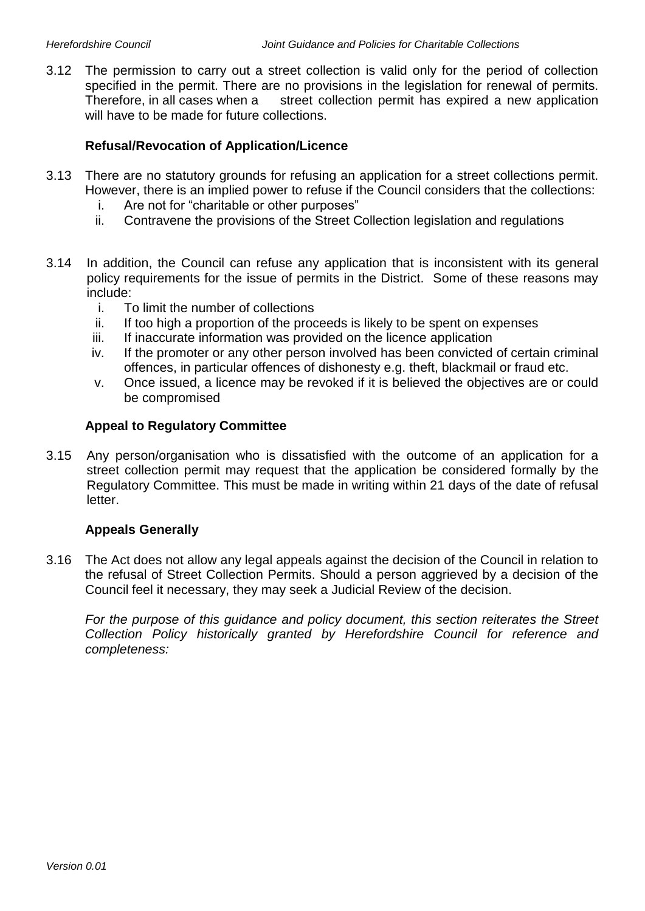3.12 The permission to carry out a street collection is valid only for the period of collection specified in the permit. There are no provisions in the legislation for renewal of permits. Therefore, in all cases when a street collection permit has expired a new application will have to be made for future collections.

## **Refusal/Revocation of Application/Licence**

- 3.13 There are no statutory grounds for refusing an application for a street collections permit. However, there is an implied power to refuse if the Council considers that the collections:
	- i. Are not for "charitable or other purposes"
	- ii. Contravene the provisions of the Street Collection legislation and regulations
- 3.14 In addition, the Council can refuse any application that is inconsistent with its general policy requirements for the issue of permits in the District. Some of these reasons may include:
	- i. To limit the number of collections
	- ii. If too high a proportion of the proceeds is likely to be spent on expenses
	- iii. If inaccurate information was provided on the licence application
	- iv. If the promoter or any other person involved has been convicted of certain criminal offences, in particular offences of dishonesty e.g. theft, blackmail or fraud etc.
	- v. Once issued, a licence may be revoked if it is believed the objectives are or could be compromised

#### **Appeal to Regulatory Committee**

3.15 Any person/organisation who is dissatisfied with the outcome of an application for a street collection permit may request that the application be considered formally by the Regulatory Committee. This must be made in writing within 21 days of the date of refusal letter.

## **Appeals Generally**

3.16 The Act does not allow any legal appeals against the decision of the Council in relation to the refusal of Street Collection Permits. Should a person aggrieved by a decision of the Council feel it necessary, they may seek a Judicial Review of the decision.

For the purpose of this guidance and policy document, this section reiterates the Street *Collection Policy historically granted by Herefordshire Council for reference and completeness:*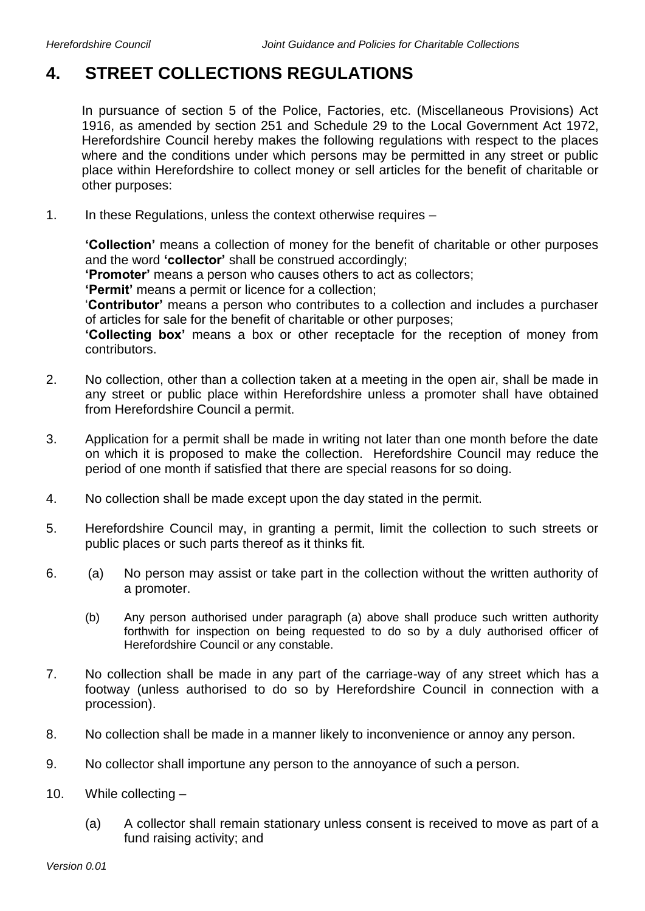## **4. STREET COLLECTIONS REGULATIONS**

In pursuance of section 5 of the Police, Factories, etc. (Miscellaneous Provisions) Act 1916, as amended by section 251 and Schedule 29 to the Local Government Act 1972, Herefordshire Council hereby makes the following regulations with respect to the places where and the conditions under which persons may be permitted in any street or public place within Herefordshire to collect money or sell articles for the benefit of charitable or other purposes:

1. In these Regulations, unless the context otherwise requires –

**'Collection'** means a collection of money for the benefit of charitable or other purposes and the word **'collector'** shall be construed accordingly;

**'Promoter'** means a person who causes others to act as collectors;

**'Permit'** means a permit or licence for a collection;

'**Contributor'** means a person who contributes to a collection and includes a purchaser of articles for sale for the benefit of charitable or other purposes;

**'Collecting box'** means a box or other receptacle for the reception of money from contributors.

- 2. No collection, other than a collection taken at a meeting in the open air, shall be made in any street or public place within Herefordshire unless a promoter shall have obtained from Herefordshire Council a permit.
- 3. Application for a permit shall be made in writing not later than one month before the date on which it is proposed to make the collection. Herefordshire Council may reduce the period of one month if satisfied that there are special reasons for so doing.
- 4. No collection shall be made except upon the day stated in the permit.
- 5. Herefordshire Council may, in granting a permit, limit the collection to such streets or public places or such parts thereof as it thinks fit.
- 6. (a) No person may assist or take part in the collection without the written authority of a promoter.
	- (b) Any person authorised under paragraph (a) above shall produce such written authority forthwith for inspection on being requested to do so by a duly authorised officer of Herefordshire Council or any constable.
- 7. No collection shall be made in any part of the carriage-way of any street which has a footway (unless authorised to do so by Herefordshire Council in connection with a procession).
- 8. No collection shall be made in a manner likely to inconvenience or annoy any person.
- 9. No collector shall importune any person to the annoyance of such a person.
- 10. While collecting
	- (a) A collector shall remain stationary unless consent is received to move as part of a fund raising activity; and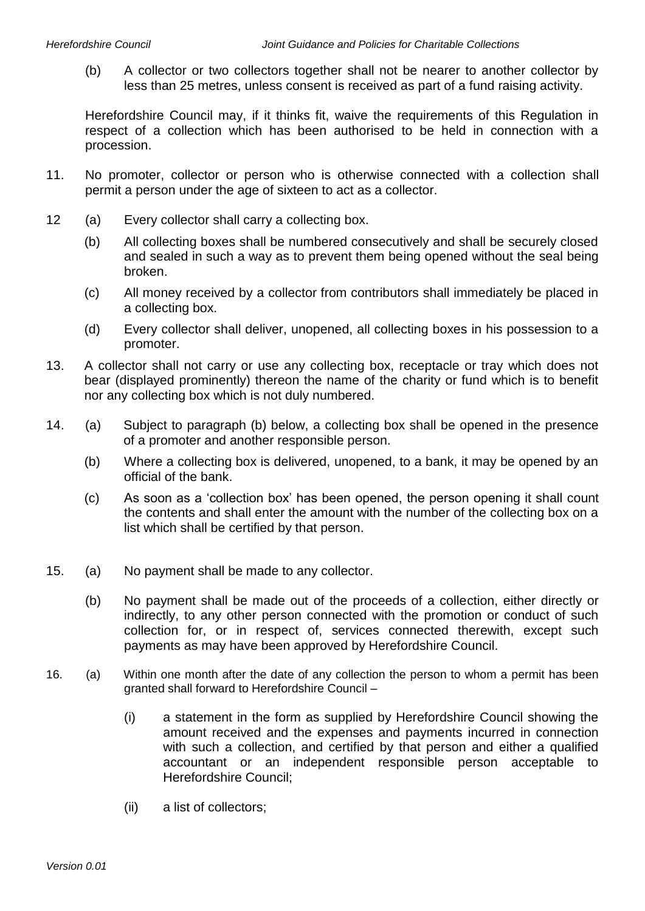(b) A collector or two collectors together shall not be nearer to another collector by less than 25 metres, unless consent is received as part of a fund raising activity.

Herefordshire Council may, if it thinks fit, waive the requirements of this Regulation in respect of a collection which has been authorised to be held in connection with a procession.

- 11. No promoter, collector or person who is otherwise connected with a collection shall permit a person under the age of sixteen to act as a collector.
- 12 (a) Every collector shall carry a collecting box.
	- (b) All collecting boxes shall be numbered consecutively and shall be securely closed and sealed in such a way as to prevent them being opened without the seal being broken.
	- (c) All money received by a collector from contributors shall immediately be placed in a collecting box.
	- (d) Every collector shall deliver, unopened, all collecting boxes in his possession to a promoter.
- 13. A collector shall not carry or use any collecting box, receptacle or tray which does not bear (displayed prominently) thereon the name of the charity or fund which is to benefit nor any collecting box which is not duly numbered.
- 14. (a) Subject to paragraph (b) below, a collecting box shall be opened in the presence of a promoter and another responsible person.
	- (b) Where a collecting box is delivered, unopened, to a bank, it may be opened by an official of the bank.
	- (c) As soon as a 'collection box' has been opened, the person opening it shall count the contents and shall enter the amount with the number of the collecting box on a list which shall be certified by that person.
- 15. (a) No payment shall be made to any collector.
	- (b) No payment shall be made out of the proceeds of a collection, either directly or indirectly, to any other person connected with the promotion or conduct of such collection for, or in respect of, services connected therewith, except such payments as may have been approved by Herefordshire Council.
- 16. (a) Within one month after the date of any collection the person to whom a permit has been granted shall forward to Herefordshire Council –
	- (i) a statement in the form as supplied by Herefordshire Council showing the amount received and the expenses and payments incurred in connection with such a collection, and certified by that person and either a qualified accountant or an independent responsible person acceptable to Herefordshire Council;
	- (ii) a list of collectors;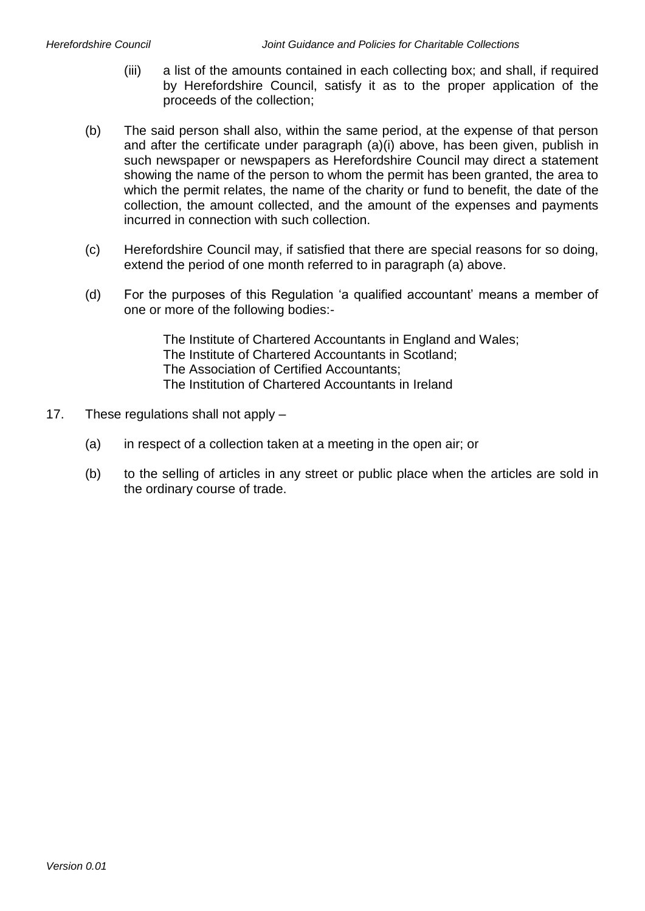- (iii) a list of the amounts contained in each collecting box; and shall, if required by Herefordshire Council, satisfy it as to the proper application of the proceeds of the collection;
- (b) The said person shall also, within the same period, at the expense of that person and after the certificate under paragraph (a)(i) above, has been given, publish in such newspaper or newspapers as Herefordshire Council may direct a statement showing the name of the person to whom the permit has been granted, the area to which the permit relates, the name of the charity or fund to benefit, the date of the collection, the amount collected, and the amount of the expenses and payments incurred in connection with such collection.
- (c) Herefordshire Council may, if satisfied that there are special reasons for so doing, extend the period of one month referred to in paragraph (a) above.
- (d) For the purposes of this Regulation 'a qualified accountant' means a member of one or more of the following bodies:-

The Institute of Chartered Accountants in England and Wales; The Institute of Chartered Accountants in Scotland; The Association of Certified Accountants; The Institution of Chartered Accountants in Ireland

- 17. These regulations shall not apply
	- (a) in respect of a collection taken at a meeting in the open air; or
	- (b) to the selling of articles in any street or public place when the articles are sold in the ordinary course of trade.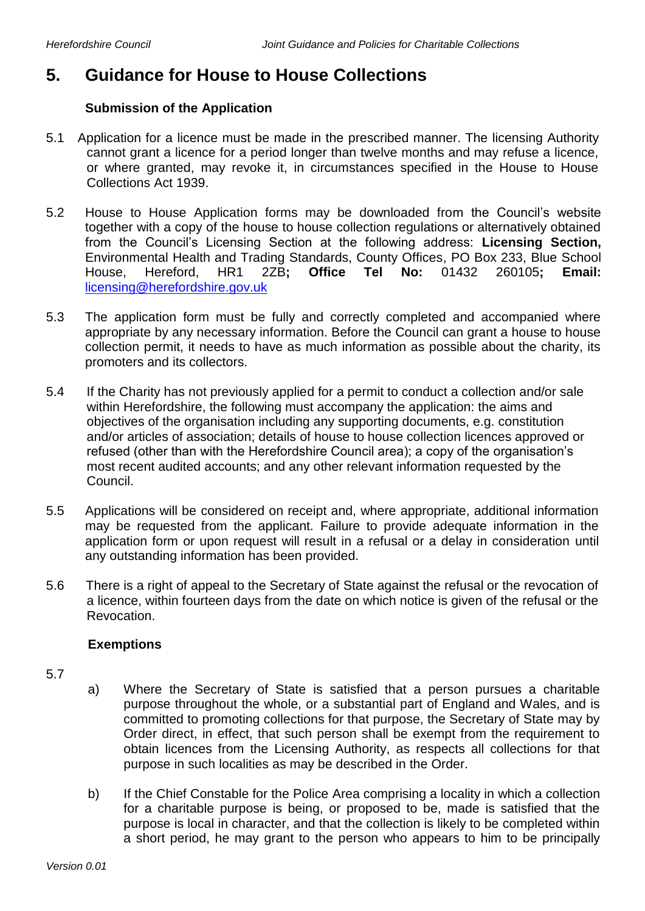## **5. Guidance for House to House Collections**

## **Submission of the Application**

- 5.1 Application for a licence must be made in the prescribed manner. The licensing Authority cannot grant a licence for a period longer than twelve months and may refuse a licence, or where granted, may revoke it, in circumstances specified in the House to House Collections Act 1939.
- 5.2 House to House Application forms may be downloaded from the Council's website together with a copy of the house to house collection regulations or alternatively obtained from the Council's Licensing Section at the following address: **Licensing Section,**  Environmental Health and Trading Standards, County Offices, PO Box 233, Blue School House, Hereford, HR1 2ZB**; Office Tel No:** 01432 260105**; Email:**  [licensing@herefordshire.gov.uk](mailto:licensing@herefordshire.gov.uk)
- 5.3 The application form must be fully and correctly completed and accompanied where appropriate by any necessary information. Before the Council can grant a house to house collection permit, it needs to have as much information as possible about the charity, its promoters and its collectors.
- 5.4 If the Charity has not previously applied for a permit to conduct a collection and/or sale within Herefordshire, the following must accompany the application: the aims and objectives of the organisation including any supporting documents, e.g. constitution and/or articles of association; details of house to house collection licences approved or refused (other than with the Herefordshire Council area); a copy of the organisation's most recent audited accounts; and any other relevant information requested by the Council.
- 5.5 Applications will be considered on receipt and, where appropriate, additional information may be requested from the applicant. Failure to provide adequate information in the application form or upon request will result in a refusal or a delay in consideration until any outstanding information has been provided.
- 5.6 There is a right of appeal to the Secretary of State against the refusal or the revocation of a licence, within fourteen days from the date on which notice is given of the refusal or the Revocation.

## **Exemptions**

- 5.7
- a) Where the Secretary of State is satisfied that a person pursues a charitable purpose throughout the whole, or a substantial part of England and Wales, and is committed to promoting collections for that purpose, the Secretary of State may by Order direct, in effect, that such person shall be exempt from the requirement to obtain licences from the Licensing Authority, as respects all collections for that purpose in such localities as may be described in the Order.
- b) If the Chief Constable for the Police Area comprising a locality in which a collection for a charitable purpose is being, or proposed to be, made is satisfied that the purpose is local in character, and that the collection is likely to be completed within a short period, he may grant to the person who appears to him to be principally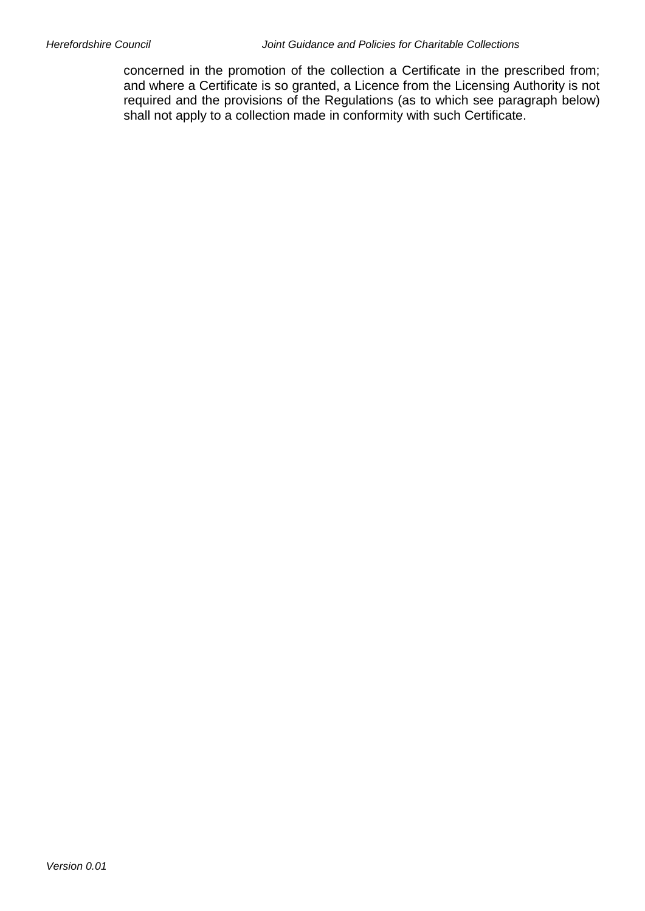concerned in the promotion of the collection a Certificate in the prescribed from; and where a Certificate is so granted, a Licence from the Licensing Authority is not required and the provisions of the Regulations (as to which see paragraph below) shall not apply to a collection made in conformity with such Certificate.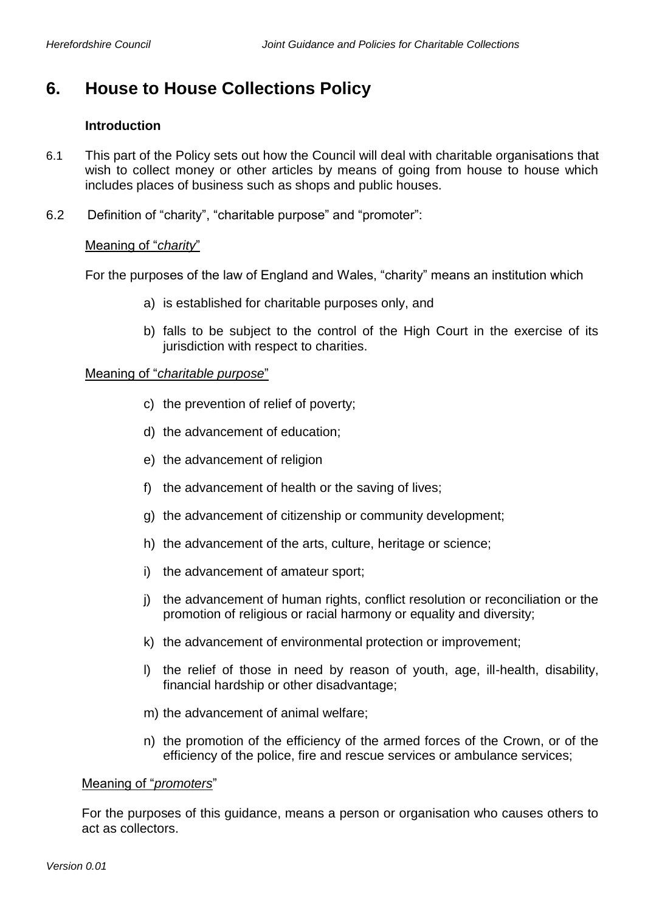## **6. House to House Collections Policy**

## **Introduction**

- 6.1 This part of the Policy sets out how the Council will deal with charitable organisations that wish to collect money or other articles by means of going from house to house which includes places of business such as shops and public houses.
- 6.2 Definition of "charity", "charitable purpose" and "promoter":

## Meaning of "*charity*"

For the purposes of the law of England and Wales, "charity" means an institution which

- a) is established for charitable purposes only, and
- b) falls to be subject to the control of the High Court in the exercise of its jurisdiction with respect to charities.

## Meaning of "*charitable purpose*"

- c) the prevention of relief of poverty;
- d) the advancement of education;
- e) the advancement of religion
- f) the advancement of health or the saving of lives;
- g) the advancement of citizenship or community development;
- h) the advancement of the arts, culture, heritage or science;
- i) the advancement of amateur sport;
- j) the advancement of human rights, conflict resolution or reconciliation or the promotion of religious or racial harmony or equality and diversity;
- k) the advancement of environmental protection or improvement;
- l) the relief of those in need by reason of youth, age, ill-health, disability, financial hardship or other disadvantage;
- m) the advancement of animal welfare;
- n) the promotion of the efficiency of the armed forces of the Crown, or of the efficiency of the police, fire and rescue services or ambulance services;

#### Meaning of "*promoters*"

For the purposes of this guidance, means a person or organisation who causes others to act as collectors.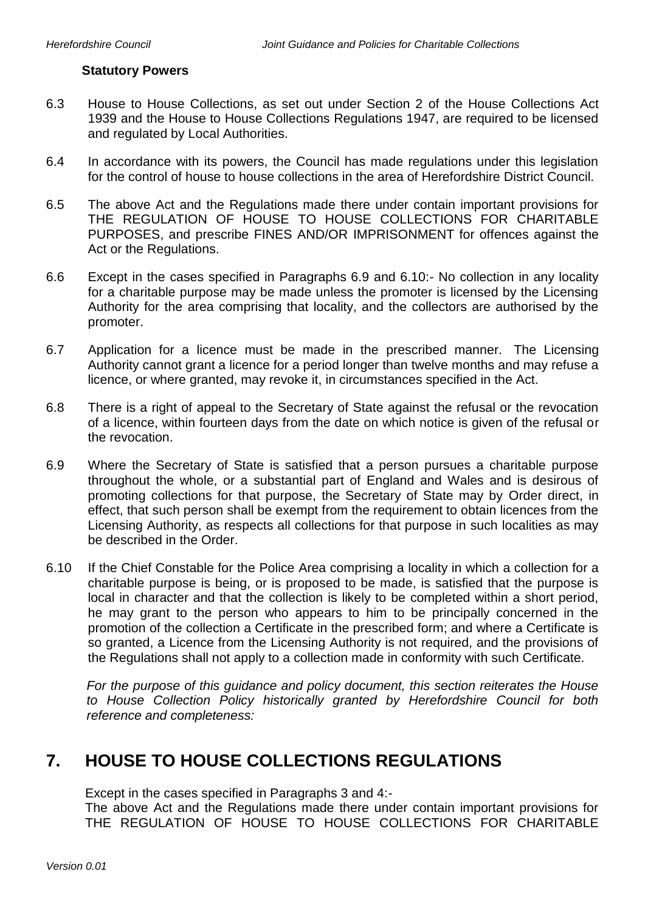#### **Statutory Powers**

- 6.3 House to House Collections, as set out under Section 2 of the House Collections Act 1939 and the House to House Collections Regulations 1947, are required to be licensed and regulated by Local Authorities.
- 6.4 In accordance with its powers, the Council has made regulations under this legislation for the control of house to house collections in the area of Herefordshire District Council.
- 6.5 The above Act and the Regulations made there under contain important provisions for THE REGULATION OF HOUSE TO HOUSE COLLECTIONS FOR CHARITABLE PURPOSES, and prescribe FINES AND/OR IMPRISONMENT for offences against the Act or the Regulations.
- 6.6 Except in the cases specified in Paragraphs 6.9 and 6.10:- No collection in any locality for a charitable purpose may be made unless the promoter is licensed by the Licensing Authority for the area comprising that locality, and the collectors are authorised by the promoter.
- 6.7 Application for a licence must be made in the prescribed manner. The Licensing Authority cannot grant a licence for a period longer than twelve months and may refuse a licence, or where granted, may revoke it, in circumstances specified in the Act.
- 6.8 There is a right of appeal to the Secretary of State against the refusal or the revocation of a licence, within fourteen days from the date on which notice is given of the refusal or the revocation.
- 6.9 Where the Secretary of State is satisfied that a person pursues a charitable purpose throughout the whole, or a substantial part of England and Wales and is desirous of promoting collections for that purpose, the Secretary of State may by Order direct, in effect, that such person shall be exempt from the requirement to obtain licences from the Licensing Authority, as respects all collections for that purpose in such localities as may be described in the Order.
- 6.10 If the Chief Constable for the Police Area comprising a locality in which a collection for a charitable purpose is being, or is proposed to be made, is satisfied that the purpose is local in character and that the collection is likely to be completed within a short period, he may grant to the person who appears to him to be principally concerned in the promotion of the collection a Certificate in the prescribed form; and where a Certificate is so granted, a Licence from the Licensing Authority is not required, and the provisions of the Regulations shall not apply to a collection made in conformity with such Certificate.

*For the purpose of this guidance and policy document, this section reiterates the House to House Collection Policy historically granted by Herefordshire Council for both reference and completeness:*

## **7. HOUSE TO HOUSE COLLECTIONS REGULATIONS**

Except in the cases specified in Paragraphs 3 and 4:-

The above Act and the Regulations made there under contain important provisions for THE REGULATION OF HOUSE TO HOUSE COLLECTIONS FOR CHARITABLE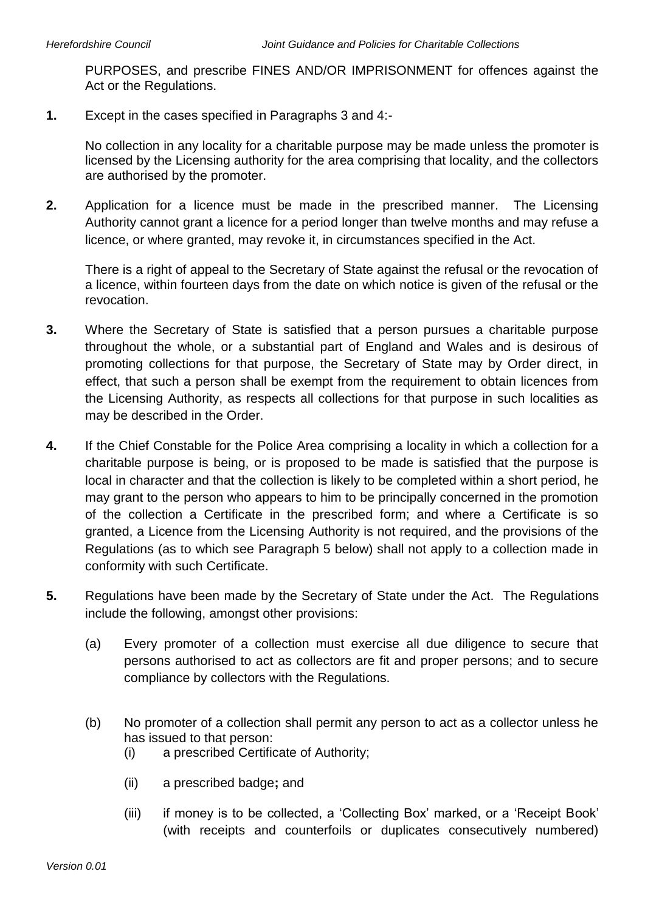PURPOSES, and prescribe FINES AND/OR IMPRISONMENT for offences against the Act or the Regulations.

**1.** Except in the cases specified in Paragraphs 3 and 4:-

No collection in any locality for a charitable purpose may be made unless the promoter is licensed by the Licensing authority for the area comprising that locality, and the collectors are authorised by the promoter.

**2.** Application for a licence must be made in the prescribed manner. The Licensing Authority cannot grant a licence for a period longer than twelve months and may refuse a licence, or where granted, may revoke it, in circumstances specified in the Act.

There is a right of appeal to the Secretary of State against the refusal or the revocation of a licence, within fourteen days from the date on which notice is given of the refusal or the revocation.

- **3.** Where the Secretary of State is satisfied that a person pursues a charitable purpose throughout the whole, or a substantial part of England and Wales and is desirous of promoting collections for that purpose, the Secretary of State may by Order direct, in effect, that such a person shall be exempt from the requirement to obtain licences from the Licensing Authority, as respects all collections for that purpose in such localities as may be described in the Order.
- **4.** If the Chief Constable for the Police Area comprising a locality in which a collection for a charitable purpose is being, or is proposed to be made is satisfied that the purpose is local in character and that the collection is likely to be completed within a short period, he may grant to the person who appears to him to be principally concerned in the promotion of the collection a Certificate in the prescribed form; and where a Certificate is so granted, a Licence from the Licensing Authority is not required, and the provisions of the Regulations (as to which see Paragraph 5 below) shall not apply to a collection made in conformity with such Certificate.
- **5.** Regulations have been made by the Secretary of State under the Act. The Regulations include the following, amongst other provisions:
	- (a) Every promoter of a collection must exercise all due diligence to secure that persons authorised to act as collectors are fit and proper persons; and to secure compliance by collectors with the Regulations.
	- (b) No promoter of a collection shall permit any person to act as a collector unless he has issued to that person:
		- (i) a prescribed Certificate of Authority;
		- (ii) a prescribed badge**;** and
		- (iii) if money is to be collected, a 'Collecting Box' marked, or a 'Receipt Book' (with receipts and counterfoils or duplicates consecutively numbered)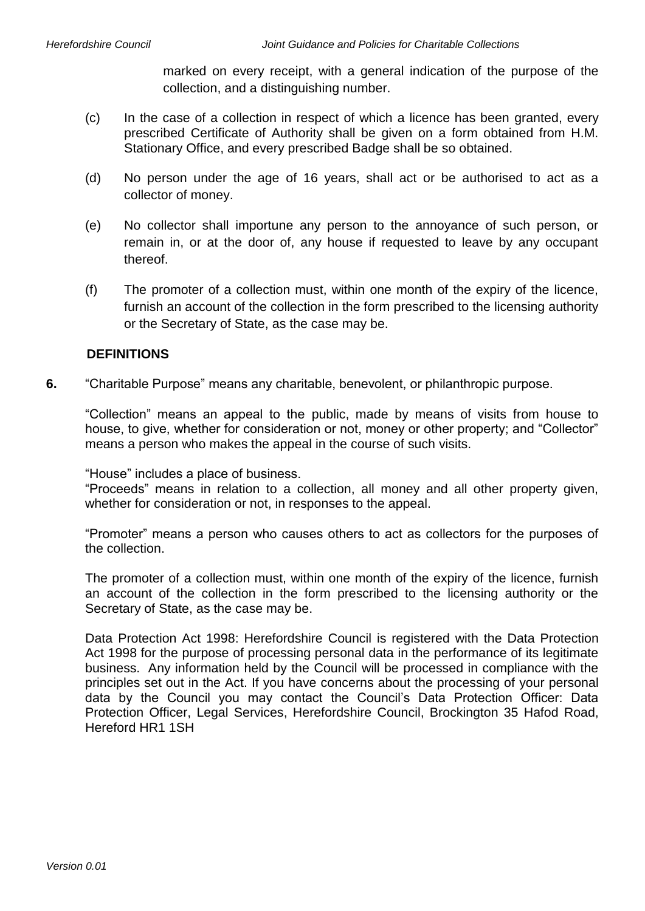marked on every receipt, with a general indication of the purpose of the collection, and a distinguishing number.

- (c) In the case of a collection in respect of which a licence has been granted, every prescribed Certificate of Authority shall be given on a form obtained from H.M. Stationary Office, and every prescribed Badge shall be so obtained.
- (d) No person under the age of 16 years, shall act or be authorised to act as a collector of money.
- (e) No collector shall importune any person to the annoyance of such person, or remain in, or at the door of, any house if requested to leave by any occupant thereof.
- (f) The promoter of a collection must, within one month of the expiry of the licence, furnish an account of the collection in the form prescribed to the licensing authority or the Secretary of State, as the case may be.

## **DEFINITIONS**

**6.** "Charitable Purpose" means any charitable, benevolent, or philanthropic purpose.

"Collection" means an appeal to the public, made by means of visits from house to house, to give, whether for consideration or not, money or other property; and "Collector" means a person who makes the appeal in the course of such visits.

"House" includes a place of business.

"Proceeds" means in relation to a collection, all money and all other property given, whether for consideration or not, in responses to the appeal.

"Promoter" means a person who causes others to act as collectors for the purposes of the collection.

The promoter of a collection must, within one month of the expiry of the licence, furnish an account of the collection in the form prescribed to the licensing authority or the Secretary of State, as the case may be.

Data Protection Act 1998: Herefordshire Council is registered with the Data Protection Act 1998 for the purpose of processing personal data in the performance of its legitimate business. Any information held by the Council will be processed in compliance with the principles set out in the Act. If you have concerns about the processing of your personal data by the Council you may contact the Council's Data Protection Officer: Data Protection Officer, Legal Services, Herefordshire Council, Brockington 35 Hafod Road, Hereford HR1 1SH